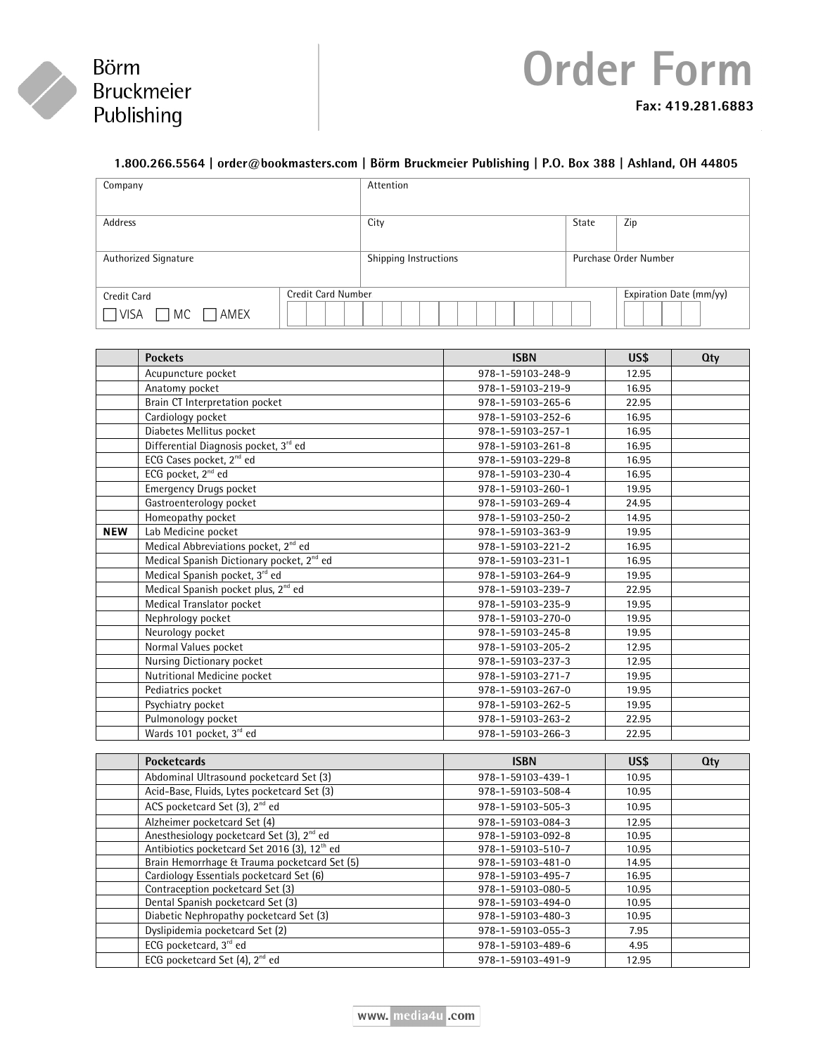

## **Order Form Fax: 419.281.6883**

### **1.800.266.5564 | order@bookmasters.com | Börm Bruckmeier Publishing | P.O. Box 388 | Ashland, OH 44805**

| Company                                             |                     | Attention             |       |                         |
|-----------------------------------------------------|---------------------|-----------------------|-------|-------------------------|
| Address                                             |                     | City                  | State | Zip                     |
| Authorized Signature                                |                     | Shipping Instructions |       | Purchase Order Number   |
| Credit Card<br>$\Box$ MC $\Box$ AMEX<br>$\Box$ VISA | Credit Card Number. |                       |       | Expiration Date (mm/yy) |

|            | <b>Pockets</b>                                        | <b>ISBN</b>       | US\$  | Qty |
|------------|-------------------------------------------------------|-------------------|-------|-----|
|            | Acupuncture pocket                                    | 978-1-59103-248-9 | 12.95 |     |
|            | Anatomy pocket                                        | 978-1-59103-219-9 | 16.95 |     |
|            | Brain CT Interpretation pocket                        | 978-1-59103-265-6 | 22.95 |     |
|            | Cardiology pocket                                     | 978-1-59103-252-6 | 16.95 |     |
|            | Diabetes Mellitus pocket                              | 978-1-59103-257-1 | 16.95 |     |
|            | Differential Diagnosis pocket, 3rd ed                 | 978-1-59103-261-8 | 16.95 |     |
|            | ECG Cases pocket, 2 <sup>nd</sup> ed                  | 978-1-59103-229-8 | 16.95 |     |
|            | ECG pocket, 2 <sup>nd</sup> ed                        | 978-1-59103-230-4 | 16.95 |     |
|            | <b>Emergency Drugs pocket</b>                         | 978-1-59103-260-1 | 19.95 |     |
|            | Gastroenterology pocket                               | 978-1-59103-269-4 | 24.95 |     |
|            | Homeopathy pocket                                     | 978-1-59103-250-2 | 14.95 |     |
| <b>NEW</b> | Lab Medicine pocket                                   | 978-1-59103-363-9 | 19.95 |     |
|            | Medical Abbreviations pocket, 2 <sup>nd</sup> ed      | 978-1-59103-221-2 | 16.95 |     |
|            | Medical Spanish Dictionary pocket, 2 <sup>nd</sup> ed | 978-1-59103-231-1 | 16.95 |     |
|            | Medical Spanish pocket, 3rd ed                        | 978-1-59103-264-9 | 19.95 |     |
|            | Medical Spanish pocket plus, 2 <sup>nd</sup> ed       | 978-1-59103-239-7 | 22.95 |     |
|            | Medical Translator pocket                             | 978-1-59103-235-9 | 19.95 |     |
|            | Nephrology pocket                                     | 978-1-59103-270-0 | 19.95 |     |
|            | Neurology pocket                                      | 978-1-59103-245-8 | 19.95 |     |
|            | Normal Values pocket                                  | 978-1-59103-205-2 | 12.95 |     |
|            | Nursing Dictionary pocket                             | 978-1-59103-237-3 | 12.95 |     |
|            | Nutritional Medicine pocket                           | 978-1-59103-271-7 | 19.95 |     |
|            | Pediatrics pocket                                     | 978-1-59103-267-0 | 19.95 |     |
|            | Psychiatry pocket                                     | 978-1-59103-262-5 | 19.95 |     |
|            | Pulmonology pocket                                    | 978-1-59103-263-2 | 22.95 |     |
|            | Wards 101 pocket, 3rd ed                              | 978-1-59103-266-3 | 22.95 |     |

| <b>Pocketcards</b>                                       | <b>ISBN</b>       | US\$  | $Q$ ty |
|----------------------------------------------------------|-------------------|-------|--------|
| Abdominal Ultrasound pocketcard Set (3)                  | 978-1-59103-439-1 | 10.95 |        |
| Acid-Base, Fluids, Lytes pocketcard Set (3)              | 978-1-59103-508-4 | 10.95 |        |
| ACS pocketcard Set (3), 2 <sup>nd</sup> ed               | 978-1-59103-505-3 | 10.95 |        |
| Alzheimer pocketcard Set (4)                             | 978-1-59103-084-3 | 12.95 |        |
| Anesthesiology pocketcard Set (3), 2 <sup>nd</sup> ed    | 978-1-59103-092-8 | 10.95 |        |
| Antibiotics pocketcard Set 2016 (3), 12 <sup>th</sup> ed | 978-1-59103-510-7 | 10.95 |        |
| Brain Hemorrhage & Trauma pocketcard Set (5)             | 978-1-59103-481-0 | 14.95 |        |
| Cardiology Essentials pocketcard Set (6)                 | 978-1-59103-495-7 | 16.95 |        |
| Contraception pocketcard Set (3)                         | 978-1-59103-080-5 | 10.95 |        |
| Dental Spanish pocketcard Set (3)                        | 978-1-59103-494-0 | 10.95 |        |
| Diabetic Nephropathy pocketcard Set (3)                  | 978-1-59103-480-3 | 10.95 |        |
| Dyslipidemia pocketcard Set (2)                          | 978-1-59103-055-3 | 7.95  |        |
| ECG pocketcard, 3rd ed                                   | 978-1-59103-489-6 | 4.95  |        |
| ECG pocketcard Set (4), 2 <sup>nd</sup> ed               | 978-1-59103-491-9 | 12.95 |        |